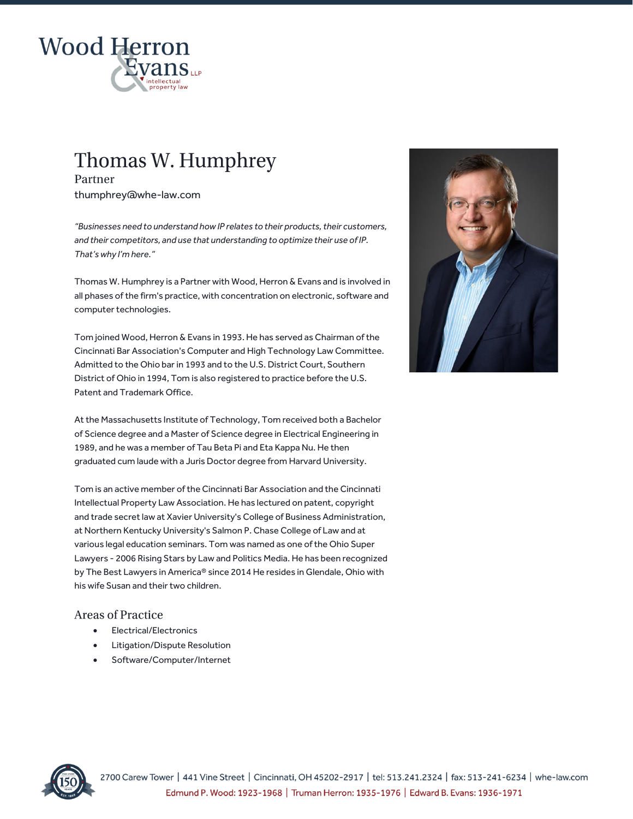

# Thomas W. Humphrey

Partner thumphrey@whe-law.com

*"Businesses need to understand how IP relates to their products, their customers, and their competitors, and use that understanding to optimize their use of IP. That's why I'm here."*

Thomas W. Humphrey is a Partner with Wood, Herron & Evans and is involved in all phases of the firm's practice, with concentration on electronic, software and computer technologies.

Tom joined Wood, Herron & Evans in 1993. He has served as Chairman of the Cincinnati Bar Association's Computer and High Technology Law Committee. Admitted to the Ohio bar in 1993 and to the U.S. District Court, Southern District of Ohio in 1994, Tom is also registered to practice before the U.S. Patent and Trademark Office.

At the Massachusetts Institute of Technology, Tom received both a Bachelor of Science degree and a Master of Science degree in Electrical Engineering in 1989, and he was a member of Tau Beta Pi and Eta Kappa Nu. He then graduated cum laude with a Juris Doctor degree from Harvard University.

Tom is an active member of the Cincinnati Bar Association and the Cincinnati Intellectual Property Law Association. He has lectured on patent, copyright and trade secret law at Xavier University's College of Business Administration, at Northern Kentucky University's Salmon P. Chase College of Law and at various legal education seminars. Tom was named as one of the Ohio Super Lawyers - 2006 Rising Stars by Law and Politics Media. He has been recognized by The Best Lawyers in America® since 2014 He resides in Glendale, Ohio with his wife Susan and their two children.

# **Areas of Practice**

- Electrical/Electronics
- Litigation/Dispute Resolution
- Software/Computer/Internet



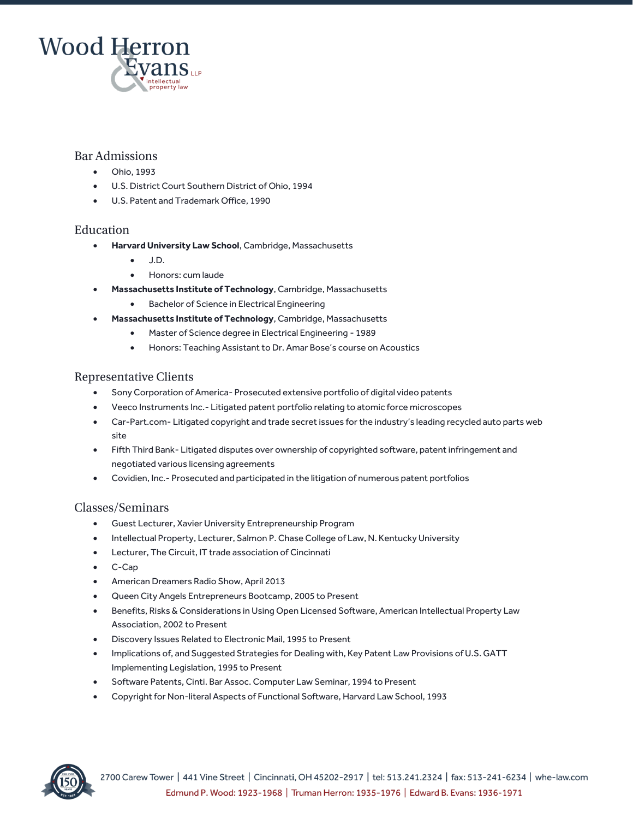

### Bar Admissions

- Ohio, 1993
- U.S. District Court Southern District of Ohio, 1994
- U.S. Patent and Trademark Office, 1990

#### Education

- **Harvard University Law School**, Cambridge, Massachusetts
	- $\bullet$  JD.
	- Honors: cum laude
- **Massachusetts Institute of Technology**, Cambridge, Massachusetts
	- Bachelor of Science in Electrical Engineering
- **Massachusetts Institute of Technology**, Cambridge, Massachusetts
	- Master of Science degree in Electrical Engineering 1989
	- Honors: Teaching Assistant to Dr. Amar Bose's course on Acoustics

#### **Representative Clients**

- Sony Corporation of America- Prosecuted extensive portfolio of digital video patents
- Veeco Instruments Inc.- Litigated patent portfolio relating to atomic force microscopes
- Car-Part.com- Litigated copyright and trade secret issues for the industry's leading recycled auto parts web site
- Fifth Third Bank- Litigated disputes over ownership of copyrighted software, patent infringement and negotiated various licensing agreements
- Covidien, Inc.- Prosecuted and participated in the litigation of numerous patent portfolios

#### Classes/Seminars

- Guest Lecturer, Xavier University Entrepreneurship Program
- Intellectual Property, Lecturer, Salmon P. Chase College of Law, N. Kentucky University
- Lecturer, The Circuit, IT trade association of Cincinnati
- C-Cap
- American Dreamers Radio Show, April 2013
- Queen City Angels Entrepreneurs Bootcamp, 2005 to Present
- Benefits, Risks & Considerations in Using Open Licensed Software, American Intellectual Property Law Association, 2002 to Present
- Discovery Issues Related to Electronic Mail, 1995 to Present
- Implications of, and Suggested Strategies for Dealing with, Key Patent Law Provisions of U.S. GATT Implementing Legislation, 1995 to Present
- Software Patents, Cinti. Bar Assoc. Computer Law Seminar, 1994 to Present
- Copyright for Non-literal Aspects of Functional Software, Harvard Law School, 1993